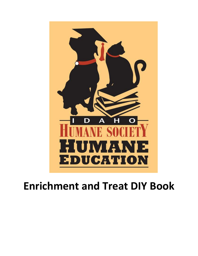

# **Enrichment and Treat DIY Book**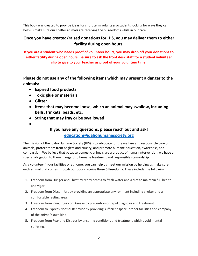This book was created to provide ideas for short term volunteers/students looking for ways they can help us make sure our shelter animals are receiving the 5 Freedoms while in our care.

#### **Once you have created/raised donations for IHS, you may deliver them to either facility during open hours.**

**If you are a student who needs proof of volunteer hours, you may drop off your donations to either facility during open hours. Be sure to ask the front desk staff for a student volunteer slip to give to your teacher as proof of your volunteer time.**

**Please do not use any of the following items which may present a danger to the animals:**

- **Expired food products**
- **Toxic glue or materials**
- **Glitter**
- **Items that may become loose, which an animal may swallow, including bells, trinkets, beads, etc.**
- **String that may fray or be swallowed**
- $\bullet$

### **If you have any questions, please reach out and ask! [education@idahohumanesociety.org](mailto:education@idahohumanesociety.org)**

The mission of the Idaho Humane Society (IHS) is to advocate for the welfare and responsible care of animals, protect them from neglect and cruelty, and promote humane education, awareness, and compassion. We believe that because domestic animals are a product of human intervention, we have a special obligation to them in regard to humane treatment and responsible stewardship.

As a volunteer in our facilities or at home, you can help us meet our mission by helping us make sure each animal that comes through our doors receive these **5 Freedoms.** These include the following:

- 1. Freedom from Hunger and Thirst by ready access to fresh water and a diet to maintain full health and vigor.
- 2. Freedom from Discomfort by providing an appropriate environment including shelter and a comfortable resting area.
- 3. Freedom from Pain, Injury or Disease by prevention or rapid diagnosis and treatment.
- 4. Freedom to Express Normal Behavior by providing sufficient space, proper facilities and company of the animal's own kind.
- 5. Freedom from Fear and Distress by ensuring conditions and treatment which avoid mental suffering.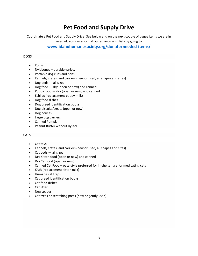# **Pet Food and Supply Drive**

Coordinate a Pet Food and Supply Drive! See below and on the next couple of pages items we are in need of. You can also find our amazon wish lists by going to

**[www.idahohumanesociety.org/donate/needed-items/](http://www.idahohumanesociety.org/donate/needed-items/)**

#### DOGS

- Kongs
- Nylabones durable variety
- Portable dog runs and pens
- Kennels, crates, and carriers (new or used, all shapes and sizes)
- $\bullet$  Dog beds all sizes
- Dog food dry (open or new) and canned
- Puppy food dry (open or new) and canned
- Esbilac (replacement puppy milk)
- Dog food dishes
- Dog breed identification books
- Dog biscuits/treats (open or new)
- Dog houses
- Large dog carriers
- Canned Pumpkin
- Peanut Butter without Xylitol

**CATS** 

- Cat toys
- Kennels, crates, and carriers (new or used, all shapes and sizes)
- Cat beds all sizes
- Dry Kitten food (open or new) and canned
- Dry Cat food (open or new)
- Canned Cat Food pate-style preferred for in-shelter use for medicating cats
- KMR (replacement kitten milk)
- Humane cat traps
- Cat breed identification books
- Cat food dishes
- Cat litter
- Newspaper
- Cat trees or scratching posts (new or gently used)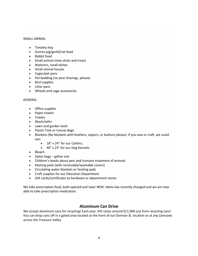#### SMALL ANIMAL

- Timothy Hay
- Guinea pig/gerbil/rat food
- Rabbit food
- Small animal chew sticks and treats
- Waterers, small dishes
- Small animal houses
- Cages/pet pens
- Pet bedding (no pine shavings, please)
- Bird supplies
- Litter pans
- Wheels and cage accessories

#### GENERAL

- Office supplies
- Paper towels
- Towels
- Washcloths
- Lawn and garden tools
- Plastic Tote or Canvas Bags
- Blankets (No blankets with feathers, zippers, or buttons please). If you sew or craft, we could use:
	- 18" x 24" for our Cattery.
	- 40″ x 25″ for our Dog Kennels.
- Bleach
- Ziploc bags gallon size
- Children's books about pets and humane treatment of animals
- Heating pads (with removable/washable covers)
- Circulating water blankets or heating pads
- Craft supplies for our Education Department
- Gift cards/certificates to hardware or department stores

We take prescription food, both opened and new! NEW: Idaho law recently changed and we are now able to take prescription medication.

#### **Aluminum Can Drive**

We accept aluminum cans for recycling! Each year, IHS raises around \$11,000 just from recycling cans! You can drop cans off in a gated area located at the front of our Dorman St. location or at any Zamzows across the Treasure Valley.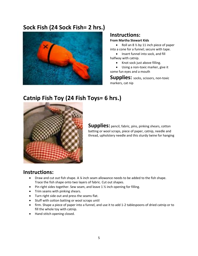### **Sock Fish (24 Sock Fish= 2 hrs.)**



### **Instructions:**

#### **From Martha Stewart Kids**

• Roll an  $8\frac{1}{2}$  by 11 inch piece of paper into a cone for a funnel; secure with tape.

• Insert funnel into sock, and fill halfway with catnip.

Knot sock just above filling.

 Using a non-toxic marker, give it some fun eyes and a mouth

**Supplies:** socks, scissors, non-toxic markers, cat nip

### **Catnip Fish Toy (24 Fish Toys= 6 hrs.)**



Supplies: pencil, fabric, pins, pinking shears, cotton batting or wool scraps, piece of paper, catnip, needle and thread, upholstery needle and this sturdy twine for hanging

- Draw and cut out fish shape. A ¼ inch seam allowance needs to be added to the fish shape. Trace the fish shape onto two layers of fabric. Cut out shapes.
- Pin right sides together. Sew seam, and leave  $1\frac{1}{2}$  inch opening for filling.
- Trim seams with pinking shears.
- Turn right side out and press the seams flat.
- Stuff with cotton batting or wool scraps until
- firm. Shape a piece of paper into a funnel, and use it to add 1-2 tablespoons of dried catnip or to fill the whole toy with catnip.
- Hand stitch opening closed.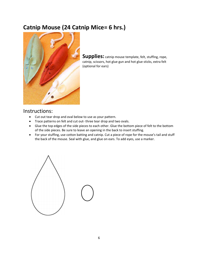### **Catnip Mouse (24 Catnip Mice= 6 hrs.)**



**Supplies:** catnip mouse template, felt, stuffing, rope, catnip, scissors, hot glue gun and hot glue sticks, extra felt (optional for ears)

- Cut out tear drop and oval below to use as your pattern.
- Trace patterns on felt and cut out- three tear drop and two ovals.
- Glue the top edges of the side pieces to each other. Glue the bottom piece of felt to the bottom of the side pieces. Be sure to leave an opening in the back to insert stuffing.
- For your stuffing, use cotton batting and catnip. Cut a piece of rope for the mouse's tail and stuff the back of the mouse. Seal with glue, and glue on ears. To add eyes, use a marker.

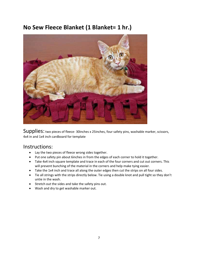### **No Sew Fleece Blanket (1 Blanket= 1 hr.)**



Supplies: two pieces of fleece- 30inches x 25inches, four safety pins, washable marker, scissors, 4x4 in and 1x4 inch cardboard for template

- Lay the two pieces of fleece wrong sides together.
- Put one safety pin about 6inches in from the edges of each corner to hold it together.
- Take 4x4 inch square template and trace in each of the four corners and cut out corners. This will prevent bunching of the material in the corners and help make tying easier.
- Take the 1x4 inch and trace all along the outer edges then cut the strips on all four sides.
- Tie all strings with the strips directly below. Tie using a double knot and pull tight so they don't untie in the wash.
- Stretch out the sides and take the safety pins out.
- Wash and dry to get washable marker out.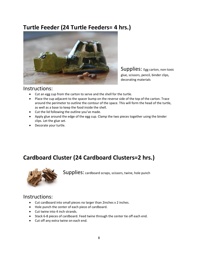# **Turtle Feeder (24 Turtle Feeders= 4 hrs.)**



Supplies: Egg carton, non-toxic glue, scissors, pencil, binder clips, decorating materials

### Instructions:

- Cut an egg cup from the carton to serve and the shell for the turtle.
- Place the cup adjacent to the spacer bump on the reverse side of the top of the carton. Trace around the perimeter to outline the contour of the space. This will form the head of the turtle, as well as a base to keep the food inside the shell.
- Cut the lid following the outline you've made.
- Apply glue around the edge of the egg cup. Clamp the two pieces together using the binder clips. Let the glue set.
- Decorate your turtle.

### **Cardboard Cluster (24 Cardboard Clusters=2 hrs.)**



Supplies: cardboard scraps, scissors, twine, hole punch

- Cut cardboard into small pieces no larger than 2inches x 2 inches.
- Hole punch the center of each piece of cardboard.
- Cut twine into 4 inch strands.
- Stack 6-8 pieces of cardboard. Feed twine through the center tie off each end.
- Cut off any extra twine on each end.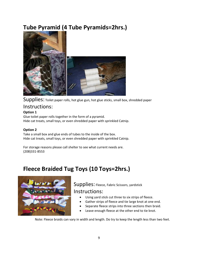# **Tube Pyramid (4 Tube Pyramids=2hrs.)**



Supplies: Toilet paper rolls, hot glue gun, hot glue sticks, small box, shredded paper

### Instructions:

#### **Option 1**

Glue toilet paper rolls together in the form of a pyramid. Hide cat treats, small toys, or even shredded paper with sprinkled Catnip.

#### **Option 2**

Take a small box and glue ends of tubes to the inside of the box. Hide cat treats, small toys, or even shredded paper with sprinkled Catnip.

For storage reasons please call shelter to see what current needs are. (208)331-8553

# **Fleece Braided Tug Toys (10 Toys=2hrs.)**



Supplies: Fleece, Fabric Scissors, yardstick Instructions:

- Using yard stick cut three to six strips of fleece.
- Gather strips of fleece and tie large knot at one end.
- Separate fleece strips into three sections then braid.
- Leave enough fleece at the other end to tie knot.

Note: Fleece braids can vary in width and length. Do try to keep the length less than two feet.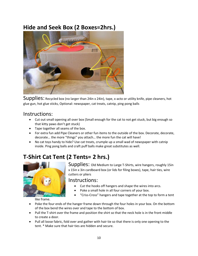# **Hide and Seek Box (2 Boxes=2hrs.)**



Supplies: Recycled box (no larger than 24in x 24in), tape, x-acto or utility knife, pipe cleaners, hot glue gun, hot glue sticks, Optional: newspaper, cat treats, catnip, ping pong balls

### Instructions:

- Cut out small opening all over box (Small enough for the cat to not get stuck, but big enough so that kitty paws don't get stuck)
- Tape together all seams of the box.
- For extra fun add Pipe Cleaners or other fun items to the outside of the box. Decorate, decorate, decorate… the more "things" you attach… the more fun the cat will have!
- No cat toys handy to hide? Use cat treats, crumple up a small wad of newspaper with catnip inside. Ping pong balls and craft puff balls make great substitutes as well.

# **T-Shirt Cat Tent (2 Tents= 2 hrs.)**



Supplies: Old Medium to Large T-Shirts, wire hangers, roughly 15in x 15in x 3in cardboard box (or lids for filing boxes), tape, hair ties, wire cutters or pliers

#### Instructions:

- Cut the hooks off hangers and shape the wires into arcs.
- Poke a small hole in all four corners of your box.
- "Criss-Cross" hangers and tape together at the top to form a tent

like frame.

- Poke the four ends of the hanger frame down through the four holes in your box. On the bottom of the box bend the wires over and tape to the bottom of box.
- Pull the T-shirt over the frame and position the shirt so that the neck hole is in the front middle to create a door.
- Pull all loose fabric, fold over and gather with hair tie so that there is only one opening to the tent. \* Make sure that hair ties are hidden and secure.